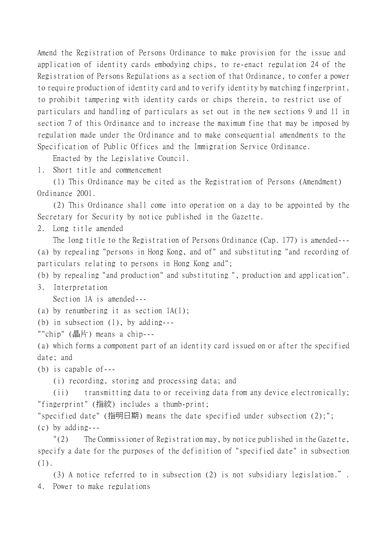Amend the Registration of Persons Ordinance to make provision for the issue and application of identity cards embodying chips, to re-enact regulation 24 of the Registration of Persons Regulations as a section of that Ordinance, to confer a power to require production of identity card and to verify identity by matching fingerprint, to prohibit tampering with identity cards or chips therein, to restrict use of particulars and handling of particulars as set out in the new sections 9 and 11 in section 7 of this Ordinance and to increase the maximum fine that may be imposed by regulation made under the Ordinance and to make consequential amendments to the Specification of Public Offices and the Immigration Service Ordinance.

Enacted by the Legislative Council.

1. Short title and commencement

(1) This Ordinance may be cited as the Registration of Persons (Amendment) Ordinance 2001.

(2) This Ordinance shall come into operation on a day to be appointed by the Secretary for Security by notice published in the Gazette.

2. Long title amended

The long title to the Registration of Persons Ordinance (Cap. 177) is amended--- (a) by repealing "persons in Hong Kong, and of" and substituting "and recording of particulars relating to persons in Hong Kong and";

(b) by repealing "and production" and substituting ", production and application".

3. Interpretation

Section 1A is amended---

(a) by renumbering it as section 1A(1);

(b) in subsection (1), by adding---

""chip" (晶片) means a chip---

(a) which forms a component part of an identity card issued on or after the specified date; and

(b) is capable of---

(i) recording, storing and processing data; and

(ii) transmitting data to or receiving data from any device electronically; "fingerprint" (指紋) includes a thumb-print;

"specified date" (指明日期) means the date specified under subsection (2);"; (c) by adding---

"(2) The Commissioner of Registration may, by notice published in the Gazette, specify a date for the purposes of the definition of "specified date" in subsection (1).

(3) A notice referred to in subsection (2) is not subsidiary legislation.". 4. Power to make regulations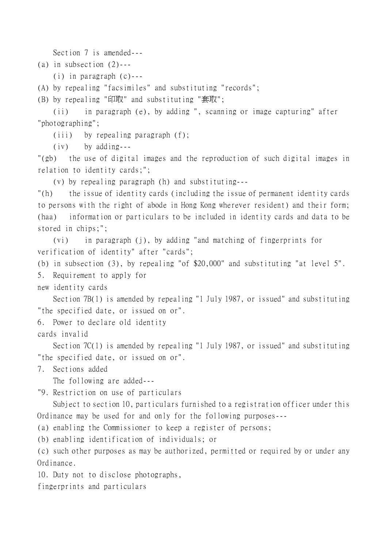Section 7 is amended---

(a) in subsection  $(2)$ ---

(i) in paragraph (c)---

(A) by repealing "facsimiles" and substituting "records";

(B) by repealing "印取" and substituting "套取";

(ii) in paragraph (e), by adding ", scanning or image capturing" after "photographing";

(iii) by repealing paragraph (f);

(iv) by adding---

"(gb) the use of digital images and the reproduction of such digital images in relation to identity cards;";

(v) by repealing paragraph (h) and substituting---

"(h) the issue of identity cards (including the issue of permanent identity cards to persons with the right of abode in Hong Kong wherever resident) and their form; (haa) information or particulars to be included in identity cards and data to be stored in chips;";

(vi) in paragraph (j), by adding "and matching of fingerprints for verification of identity" after "cards";

(b) in subsection (3), by repealing "of \$20,000" and substituting "at level 5".

5. Requirement to apply for

new identity cards

Section 7B(1) is amended by repealing "1 July 1987, or issued" and substituting "the specified date, or issued on or".

6. Power to declare old identity

cards invalid

Section 7C(1) is amended by repealing "1 July 1987, or issued" and substituting "the specified date, or issued on or".

7. Sections added

The following are added---

"9. Restriction on use of particulars

Subject to section 10, particulars furnished to a registration officer under this Ordinance may be used for and only for the following purposes---

(a) enabling the Commissioner to keep a register of persons;

(b) enabling identification of individuals; or

(c) such other purposes as may be authorized, permitted or required by or under any Ordinance.

10. Duty not to disclose photographs,

fingerprints and particulars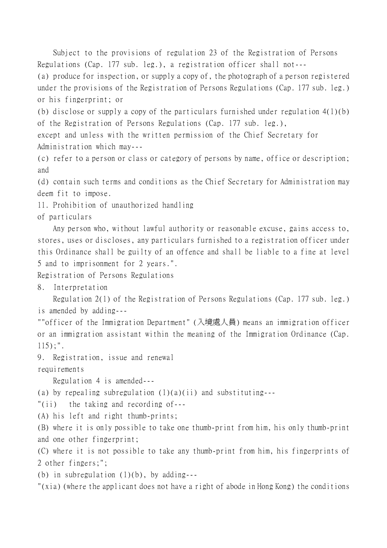Subject to the provisions of regulation 23 of the Registration of Persons Regulations (Cap. 177 sub. leg.), a registration officer shall not---

(a) produce for inspection, or supply a copy of, the photograph of a person registered under the provisions of the Registration of Persons Regulations (Cap. 177 sub. leg.) or his fingerprint; or

(b) disclose or supply a copy of the particulars furnished under regulation 4(1)(b) of the Registration of Persons Regulations (Cap. 177 sub. leg.),

except and unless with the written permission of the Chief Secretary for Administration which may---

(c) refer to a person or class or category of persons by name, office or description; and

(d) contain such terms and conditions as the Chief Secretary for Administration may deem fit to impose.

11. Prohibition of unauthorized handling

of particulars

Any person who, without lawful authority or reasonable excuse, gains access to, stores, uses or discloses, any particulars furnished to a registration officer under this Ordinance shall be guilty of an offence and shall be liable to a fine at level 5 and to imprisonment for 2 years.".

Registration of Persons Regulations

8. Interpretation

Regulation 2(1) of the Registration of Persons Regulations (Cap. 177 sub. leg.) is amended by adding---

""officer of the Immigration Department" (入境處㆟員) means an immigration officer or an immigration assistant within the meaning of the Immigration Ordinance (Cap. 115);".

9. Registration, issue and renewal

requirements

Regulation 4 is amended---

(a) by repealing subregulation  $(1)(a)(ii)$  and substituting---

"(ii) the taking and recording of---

(A) his left and right thumb-prints;

(B) where it is only possible to take one thumb-print from him, his only thumb-print and one other fingerprint;

(C) where it is not possible to take any thumb-print from him, his fingerprints of 2 other fingers;";

(b) in subregulation  $(1)(b)$ , by adding---

"(xia) (where the applicant does not have a right of abode in Hong Kong) the conditions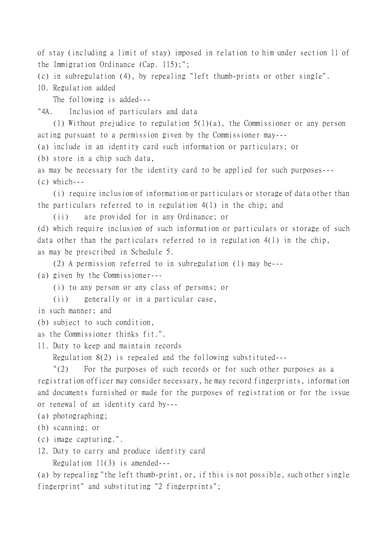of stay (including a limit of stay) imposed in relation to him under section 11 of the Immigration Ordinance (Cap. 115);";

(c) in subregulation (4), by repealing "left thumb-prints or other single".

10. Regulation added

The following is added---

"4A. Inclusion of particulars and data

(1) Without prejudice to regulation 5(1)(a), the Commissioner or any person acting pursuant to a permission given by the Commissioner may---

(a) include in an identity card such information or particulars; or

(b) store in a chip such data,

as may be necessary for the identity card to be applied for such purposes---  $(c)$  which ---

(i) require inclusion of information or particulars or storage of data other than the particulars referred to in regulation 4(1) in the chip; and

(ii) are provided for in any Ordinance; or

(d) which require inclusion of such information or particulars or storage of such data other than the particulars referred to in regulation 4(1) in the chip, as may be prescribed in Schedule 5.

(2) A permission referred to in subregulation (1) may be---

(a) given by the Commissioner---

(i) to any person or any class of persons; or

(ii) generally or in a particular case,

in such manner; and

(b) subject to such condition,

as the Commissioner thinks fit.".

11. Duty to keep and maintain records

Regulation 8(2) is repealed and the following substituted---

"(2) For the purposes of such records or for such other purposes as a registration officer may consider necessary, he may record fingerprints, information and documents furnished or made for the purposes of registration or for the issue or renewal of an identity card by---

(a) photographing;

- (b) scanning; or
- (c) image capturing.".
- 12. Duty to carry and produce identity card Regulation 11(3) is amended---

(a) by repealing "the left thumb-print, or, if this is not possible, such other single fingerprint" and substituting "2 fingerprints";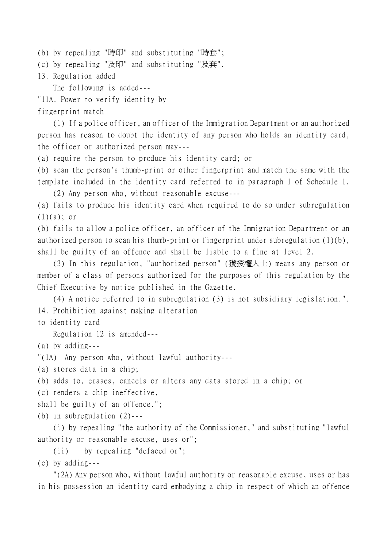(b) by repealing "時印" and substituting "時套";

(c) by repealing "及印" and substituting "及套".

13. Regulation added

The following is added---

"11A. Power to verify identity by

fingerprint match

(1) If a police officer, an officer of the Immigration Department or an authorized person has reason to doubt the identity of any person who holds an identity card, the officer or authorized person may---

(a) require the person to produce his identity card; or

(b) scan the person's thumb-print or other fingerprint and match the same with the template included in the identity card referred to in paragraph 1 of Schedule 1. (2) Any person who, without reasonable excuse---

(a) fails to produce his identity card when required to do so under subregulation

 $(1)(a)$ ; or

(b) fails to allow a police officer, an officer of the Immigration Department or an authorized person to scan his thumb-print or fingerprint under subregulation (1)(b), shall be guilty of an offence and shall be liable to a fine at level 2.

(3) In this regulation, "authorized person" (獲授權㆟士) means any person or member of a class of persons authorized for the purposes of this regulation by the Chief Executive by notice published in the Gazette.

(4) A notice referred to in subregulation (3) is not subsidiary legislation.". 14. Prohibition against making alteration

to identity card

Regulation 12 is amended---

(a) by adding---

"(1A) Any person who, without lawful authority---

(a) stores data in a chip;

(b) adds to, erases, cancels or alters any data stored in a chip; or

(c) renders a chip ineffective,

shall be guilty of an offence.";

(b) in subregulation (2)---

(i) by repealing "the authority of the Commissioner," and substituting "lawful authority or reasonable excuse, uses or";

(ii) by repealing "defaced or"; (c) by adding---

"(2A) Any person who, without lawful authority or reasonable excuse, uses or has in his possession an identity card embodying a chip in respect of which an offence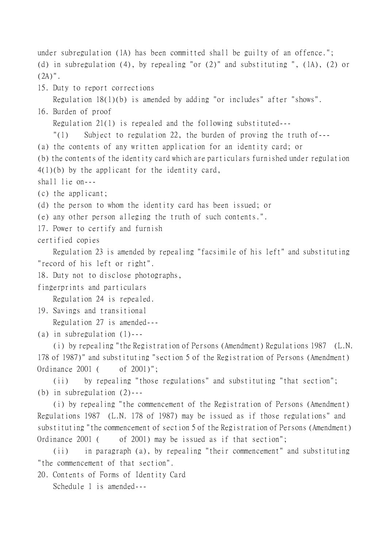under subregulation (1A) has been committed shall be guilty of an offence."; (d) in subregulation (4), by repealing "or (2)" and substituting ", (1A), (2) or  $(2A)$ ". 15. Duty to report corrections Regulation 18(1)(b) is amended by adding "or includes" after "shows". 16. Burden of proof Regulation 21(1) is repealed and the following substituted--- "(1) Subject to regulation 22, the burden of proving the truth of--- (a) the contents of any written application for an identity card; or (b) the contents of the identity card which are particulars furnished under regulation 4(1)(b) by the applicant for the identity card, shall lie on--- (c) the applicant; (d) the person to whom the identity card has been issued; or (e) any other person alleging the truth of such contents.". 17. Power to certify and furnish certified copies Regulation 23 is amended by repealing "facsimile of his left" and substituting "record of his left or right". 18. Duty not to disclose photographs, fingerprints and particulars Regulation 24 is repealed. 19. Savings and transitional Regulation 27 is amended--- (a) in subregulation (1)--- (i) by repealing "the Registration of Persons (Amendment) Regulations 1987 (L.N. 178 of 1987)" and substituting "section 5 of the Registration of Persons (Amendment) Ordinance 2001 ( of 2001)"; (ii) by repealing "those regulations" and substituting "that section"; (b) in subregulation (2)--- (i) by repealing "the commencement of the Registration of Persons (Amendment) Regulations 1987 (L.N. 178 of 1987) may be issued as if those regulations" and substituting "the commencement of section 5 of the Registration of Persons (Amendment) Ordinance 2001 ( of 2001) may be issued as if that section";

(ii) in paragraph (a), by repealing "their commencement" and substituting "the commencement of that section".

20. Contents of Forms of Identity Card

Schedule 1 is amended---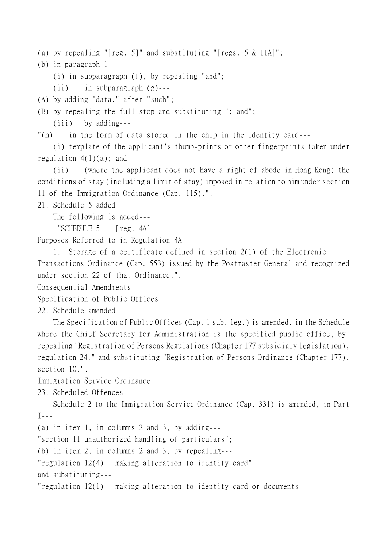(a) by repealing "[reg. 5]" and substituting "[regs. 5 & 11A]";

(b) in paragraph 1---

(i) in subparagraph (f), by repealing "and";

(ii) in subparagraph (g)---

(A) by adding "data," after "such";

(B) by repealing the full stop and substituting "; and";

(iii) by adding---

"(h) in the form of data stored in the chip in the identity card---

(i) template of the applicant's thumb-prints or other fingerprints taken under regulation  $4(1)(a)$ ; and

(ii) (where the applicant does not have a right of abode in Hong Kong) the conditions of stay (including a limit of stay) imposed in relation to him under section 11 of the Immigration Ordinance (Cap. 115).".

21. Schedule 5 added

The following is added---

"SCHEDULE 5 [reg. 4A]

Purposes Referred to in Regulation 4A

1. Storage of a certificate defined in section 2(1) of the Electronic Transactions Ordinance (Cap. 553) issued by the Postmaster General and recognized under section 22 of that Ordinance.".

Consequential Amendments

Specification of Public Offices

22. Schedule amended

The Specification of Public Offices (Cap. 1 sub. leg.) is amended, in the Schedule where the Chief Secretary for Administration is the specified public office, by repealing "Registration of Persons Regulations (Chapter 177 subsidiary legislation), regulation 24." and substituting "Registration of Persons Ordinance (Chapter 177), section 10.".

Immigration Service Ordinance

23. Scheduled Offences

Schedule 2 to the Immigration Service Ordinance (Cap. 331) is amended, in Part I---

(a) in item 1, in columns 2 and 3, by adding---

"section 11 unauthorized handling of particulars";

(b) in item 2, in columns 2 and 3, by repealing---

"regulation 12(4) making alteration to identity card"

and substituting---

"regulation 12(1) making alteration to identity card or documents